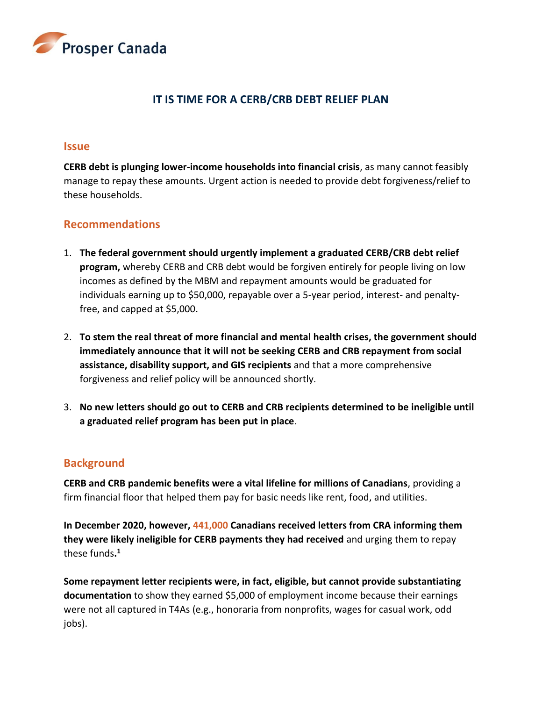

# **IT IS TIME FOR A CERB/CRB DEBT RELIEF PLAN**

#### **Issue**

**CERB debt is plunging lower-income households into financial crisis**, as many cannot feasibly manage to repay these amounts. Urgent action is needed to provide debt forgiveness/relief to these households.

### **Recommendations**

- 1. **The federal government should urgently implement a graduated CERB/CRB debt relief program,** whereby CERB and CRB debt would be forgiven entirely for people living on low incomes as defined by the MBM and repayment amounts would be graduated for individuals earning up to \$50,000, repayable over a 5-year period, interest- and penaltyfree, and capped at \$5,000.
- 2. **To stem the real threat of more financial and mental health crises, the government should immediately announce that it will not be seeking CERB and CRB repayment from social assistance, disability support, and GIS recipients** and that a more comprehensive forgiveness and relief policy will be announced shortly.
- 3. **No new letters should go out to CERB and CRB recipients determined to be ineligible until a graduated relief program has been put in place**.

### **Background**

**CERB and CRB pandemic benefits were a vital lifeline for millions of Canadians**, providing a firm financial floor that helped them pay for basic needs like rent, food, and utilities.

**In December 2020, however, 441,000 Canadians received letters from CRA informing them they were likely ineligible for CERB payments they had received** and urging them to repay these funds**. 1**

**Some repayment letter recipients were, in fact, eligible, but cannot provide substantiating documentation** to show they earned \$5,000 of employment income because their earnings were not all captured in T4As (e.g., honoraria from nonprofits, wages for casual work, odd jobs).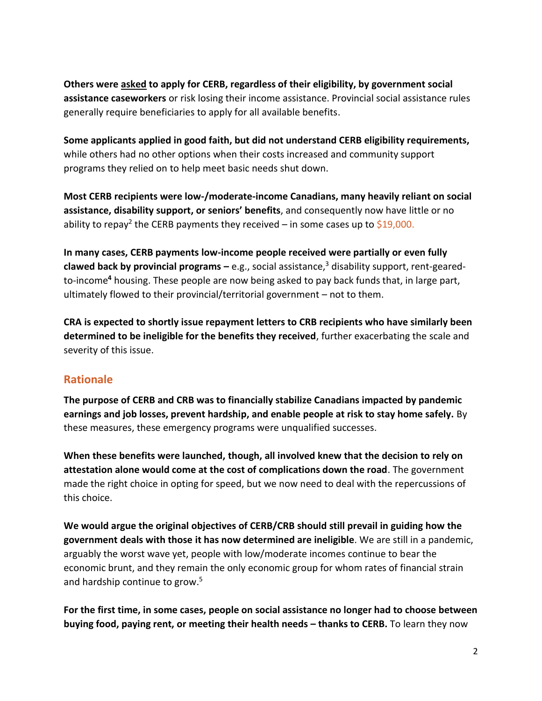**Others were asked to apply for CERB, regardless of their eligibility, by government social assistance caseworkers** or risk losing their income assistance. Provincial social assistance rules generally require beneficiaries to apply for all available benefits.

**Some applicants applied in good faith, but did not understand CERB eligibility requirements,** while others had no other options when their costs increased and community support programs they relied on to help meet basic needs shut down.

**Most CERB recipients were low-/moderate-income Canadians, many heavily reliant on social assistance, disability support, or seniors' benefits**, and consequently now have little or no ability to repay<sup>2</sup> the CERB payments they received – in some cases up to \$19,000.

**In many cases, CERB payments low-income people received were partially or even fully clawed back by provincial programs – e.g., social assistance,<sup>3</sup> disability support, rent-geared**to-income**<sup>4</sup>** housing. These people are now being asked to pay back funds that, in large part, ultimately flowed to their provincial/territorial government – not to them.

**CRA is expected to shortly issue repayment letters to CRB recipients who have similarly been determined to be ineligible for the benefits they received**, further exacerbating the scale and severity of this issue.

# **Rationale**

**The purpose of CERB and CRB was to financially stabilize Canadians impacted by pandemic earnings and job losses, prevent hardship, and enable people at risk to stay home safely.** By these measures, these emergency programs were unqualified successes.

**When these benefits were launched, though, all involved knew that the decision to rely on attestation alone would come at the cost of complications down the road**. The government made the right choice in opting for speed, but we now need to deal with the repercussions of this choice.

**We would argue the original objectives of CERB/CRB should still prevail in guiding how the government deals with those it has now determined are ineligible**. We are still in a pandemic, arguably the worst wave yet, people with low/moderate incomes continue to bear the economic brunt, and they remain the only economic group for whom rates of financial strain and hardship continue to grow.<sup>5</sup>

**For the first time, in some cases, people on social assistance no longer had to choose between buying food, paying rent, or meeting their health needs – thanks to CERB.** To learn they now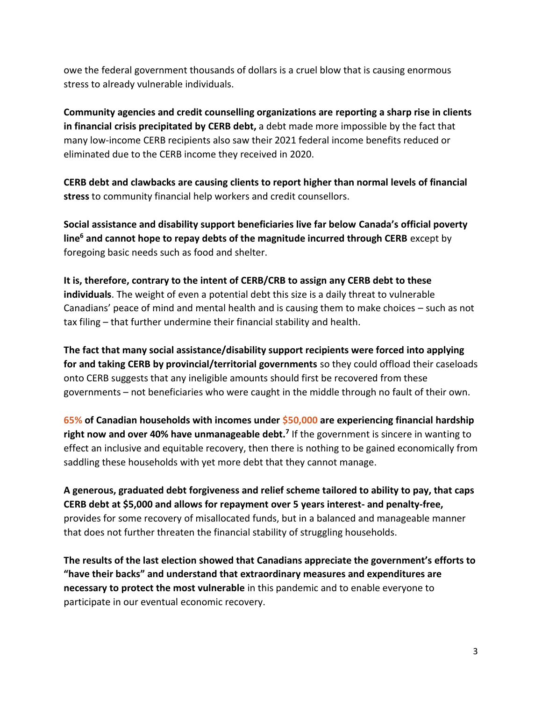owe the federal government thousands of dollars is a cruel blow that is causing enormous stress to already vulnerable individuals.

**Community agencies and credit counselling organizations are reporting a sharp rise in clients in financial crisis precipitated by CERB debt,** a debt made more impossible by the fact that many low-income CERB recipients also saw their 2021 federal income benefits reduced or eliminated due to the CERB income they received in 2020.

**CERB debt and clawbacks are causing clients to report higher than normal levels of financial stress** to community financial help workers and credit counsellors.

**Social assistance and disability support beneficiaries live far below Canada's official poverty line<sup>6</sup> and cannot hope to repay debts of the magnitude incurred through CERB** except by foregoing basic needs such as food and shelter.

**It is, therefore, contrary to the intent of CERB/CRB to assign any CERB debt to these individuals**. The weight of even a potential debt this size is a daily threat to vulnerable Canadians' peace of mind and mental health and is causing them to make choices – such as not tax filing – that further undermine their financial stability and health.

**The fact that many social assistance/disability support recipients were forced into applying for and taking CERB by provincial/territorial governments** so they could offload their caseloads onto CERB suggests that any ineligible amounts should first be recovered from these governments – not beneficiaries who were caught in the middle through no fault of their own.

**65% of Canadian households with incomes under \$50,000 are experiencing financial hardship right now and over 40% have unmanageable debt.<sup>7</sup>** If the government is sincere in wanting to effect an inclusive and equitable recovery, then there is nothing to be gained economically from saddling these households with yet more debt that they cannot manage.

**A generous, graduated debt forgiveness and relief scheme tailored to ability to pay, that caps CERB debt at \$5,000 and allows for repayment over 5 years interest- and penalty-free,** provides for some recovery of misallocated funds, but in a balanced and manageable manner that does not further threaten the financial stability of struggling households.

**The results of the last election showed that Canadians appreciate the government's efforts to "have their backs" and understand that extraordinary measures and expenditures are necessary to protect the most vulnerable** in this pandemic and to enable everyone to participate in our eventual economic recovery.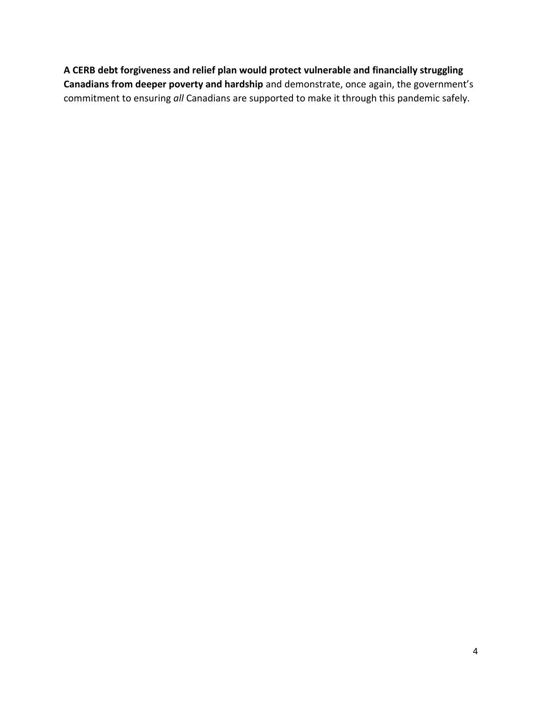**A CERB debt forgiveness and relief plan would protect vulnerable and financially struggling Canadians from deeper poverty and hardship** and demonstrate, once again, the government's commitment to ensuring *all* Canadians are supported to make it through this pandemic safely.